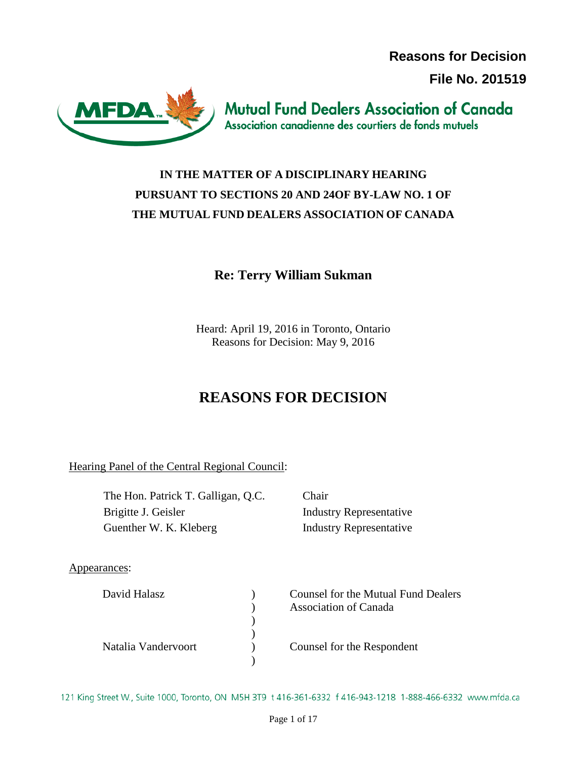**Reasons for Decision**

**File No. 201519**



**Mutual Fund Dealers Association of Canada** Association canadienne des courtiers de fonds mutuels

# **IN THE MATTER OF A DISCIPLINARY HEARING PURSUANT TO SECTIONS 20 AND 24OF BY-LAW NO. 1 OF THE MUTUAL FUND DEALERS ASSOCIATION OF CANADA**

# **Re: Terry William Sukman**

Heard: April 19, 2016 in Toronto, Ontario Reasons for Decision: May 9, 2016

# **REASONS FOR DECISION**

Hearing Panel of the Central Regional Council:

The Hon. Patrick T. Galligan, Q.C. Chair Brigitte J. Geisler Industry Representative Guenther W. K. Kleberg Industry Representative

Appearances:

| David Halasz        | Counsel for the Mutual Fund Dealers<br><b>Association of Canada</b> |
|---------------------|---------------------------------------------------------------------|
|                     |                                                                     |
|                     |                                                                     |
| Natalia Vandervoort | Counsel for the Respondent                                          |
|                     |                                                                     |

121 King Street W., Suite 1000, Toronto, ON M5H 3T9 t 416-361-6332 f 416-943-1218 1-888-466-6332 www.mfda.ca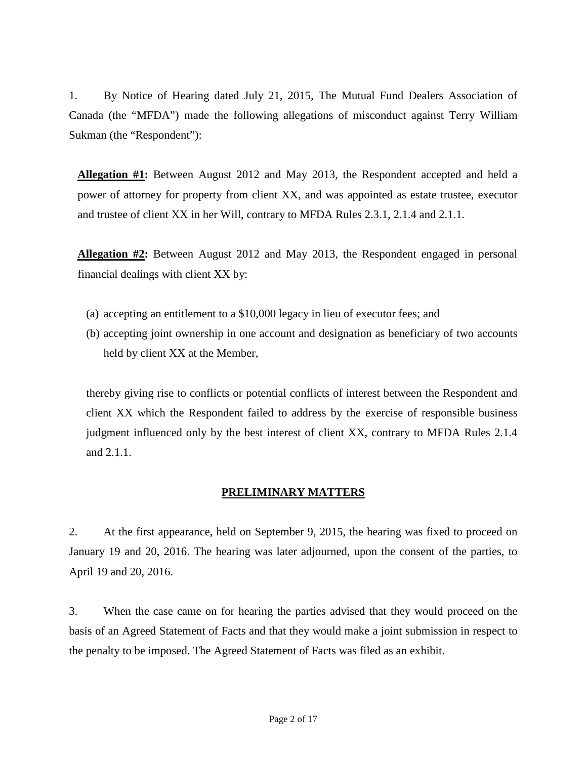1. By Notice of Hearing dated July 21, 2015, The Mutual Fund Dealers Association of Canada (the "MFDA") made the following allegations of misconduct against Terry William Sukman (the "Respondent"):

**Allegation #1:** Between August 2012 and May 2013, the Respondent accepted and held a power of attorney for property from client XX, and was appointed as estate trustee, executor and trustee of client XX in her Will, contrary to MFDA Rules 2.3.1, 2.1.4 and 2.1.1.

**Allegation #2:** Between August 2012 and May 2013, the Respondent engaged in personal financial dealings with client XX by:

- (a) accepting an entitlement to a \$10,000 legacy in lieu of executor fees; and
- (b) accepting joint ownership in one account and designation as beneficiary of two accounts held by client XX at the Member,

thereby giving rise to conflicts or potential conflicts of interest between the Respondent and client XX which the Respondent failed to address by the exercise of responsible business judgment influenced only by the best interest of client XX, contrary to MFDA Rules 2.1.4 and 2.1.1.

# **PRELIMINARY MATTERS**

2. At the first appearance, held on September 9, 2015, the hearing was fixed to proceed on January 19 and 20, 2016. The hearing was later adjourned, upon the consent of the parties, to April 19 and 20, 2016.

3. When the case came on for hearing the parties advised that they would proceed on the basis of an Agreed Statement of Facts and that they would make a joint submission in respect to the penalty to be imposed. The Agreed Statement of Facts was filed as an exhibit.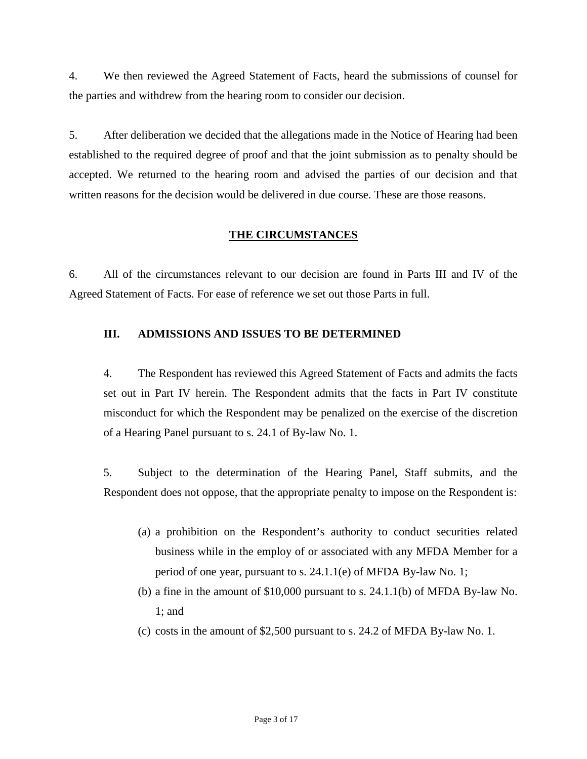4. We then reviewed the Agreed Statement of Facts, heard the submissions of counsel for the parties and withdrew from the hearing room to consider our decision.

5. After deliberation we decided that the allegations made in the Notice of Hearing had been established to the required degree of proof and that the joint submission as to penalty should be accepted. We returned to the hearing room and advised the parties of our decision and that written reasons for the decision would be delivered in due course. These are those reasons.

# **THE CIRCUMSTANCES**

6. All of the circumstances relevant to our decision are found in Parts III and IV of the Agreed Statement of Facts. For ease of reference we set out those Parts in full.

# **III. ADMISSIONS AND ISSUES TO BE DETERMINED**

4. The Respondent has reviewed this Agreed Statement of Facts and admits the facts set out in Part IV herein. The Respondent admits that the facts in Part IV constitute misconduct for which the Respondent may be penalized on the exercise of the discretion of a Hearing Panel pursuant to s. 24.1 of By-law No. 1.

5. Subject to the determination of the Hearing Panel, Staff submits, and the Respondent does not oppose, that the appropriate penalty to impose on the Respondent is:

- (a) a prohibition on the Respondent's authority to conduct securities related business while in the employ of or associated with any MFDA Member for a period of one year, pursuant to s. 24.1.1(e) of MFDA By-law No. 1;
- (b) a fine in the amount of \$10,000 pursuant to s. 24.1.1(b) of MFDA By-law No. 1; and
- (c) costs in the amount of \$2,500 pursuant to s. 24.2 of MFDA By-law No. 1.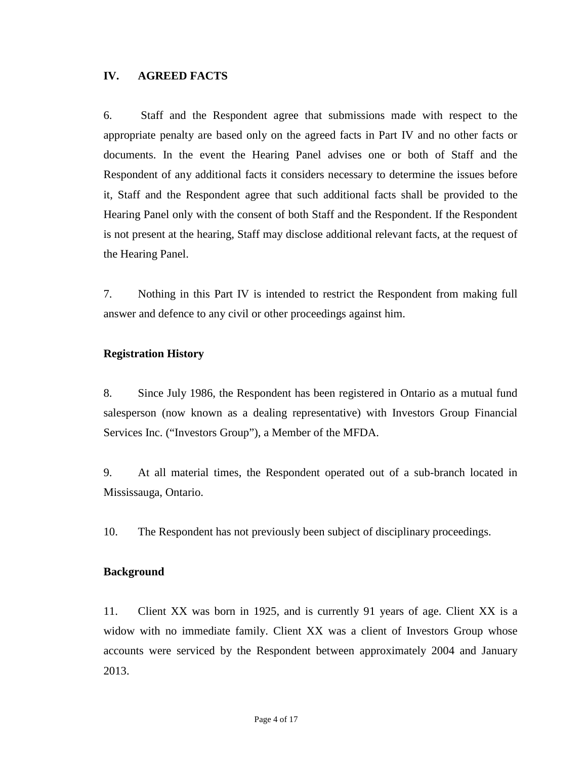## **IV. AGREED FACTS**

6. Staff and the Respondent agree that submissions made with respect to the appropriate penalty are based only on the agreed facts in Part IV and no other facts or documents. In the event the Hearing Panel advises one or both of Staff and the Respondent of any additional facts it considers necessary to determine the issues before it, Staff and the Respondent agree that such additional facts shall be provided to the Hearing Panel only with the consent of both Staff and the Respondent. If the Respondent is not present at the hearing, Staff may disclose additional relevant facts, at the request of the Hearing Panel.

7. Nothing in this Part IV is intended to restrict the Respondent from making full answer and defence to any civil or other proceedings against him.

### **Registration History**

8. Since July 1986, the Respondent has been registered in Ontario as a mutual fund salesperson (now known as a dealing representative) with Investors Group Financial Services Inc. ("Investors Group"), a Member of the MFDA.

9. At all material times, the Respondent operated out of a sub-branch located in Mississauga, Ontario.

10. The Respondent has not previously been subject of disciplinary proceedings.

### **Background**

11. Client XX was born in 1925, and is currently 91 years of age. Client XX is a widow with no immediate family. Client XX was a client of Investors Group whose accounts were serviced by the Respondent between approximately 2004 and January 2013.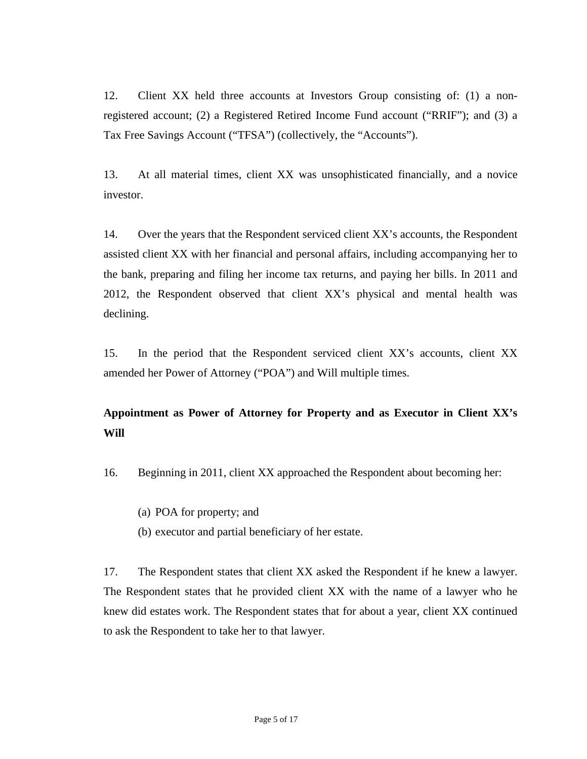12. Client XX held three accounts at Investors Group consisting of: (1) a nonregistered account; (2) a Registered Retired Income Fund account ("RRIF"); and (3) a Tax Free Savings Account ("TFSA") (collectively, the "Accounts").

13. At all material times, client XX was unsophisticated financially, and a novice investor.

14. Over the years that the Respondent serviced client XX's accounts, the Respondent assisted client XX with her financial and personal affairs, including accompanying her to the bank, preparing and filing her income tax returns, and paying her bills. In 2011 and 2012, the Respondent observed that client XX's physical and mental health was declining.

15. In the period that the Respondent serviced client XX's accounts, client XX amended her Power of Attorney ("POA") and Will multiple times.

# **Appointment as Power of Attorney for Property and as Executor in Client XX's Will**

16. Beginning in 2011, client XX approached the Respondent about becoming her:

(a) POA for property; and

(b) executor and partial beneficiary of her estate.

17. The Respondent states that client XX asked the Respondent if he knew a lawyer. The Respondent states that he provided client XX with the name of a lawyer who he knew did estates work. The Respondent states that for about a year, client XX continued to ask the Respondent to take her to that lawyer.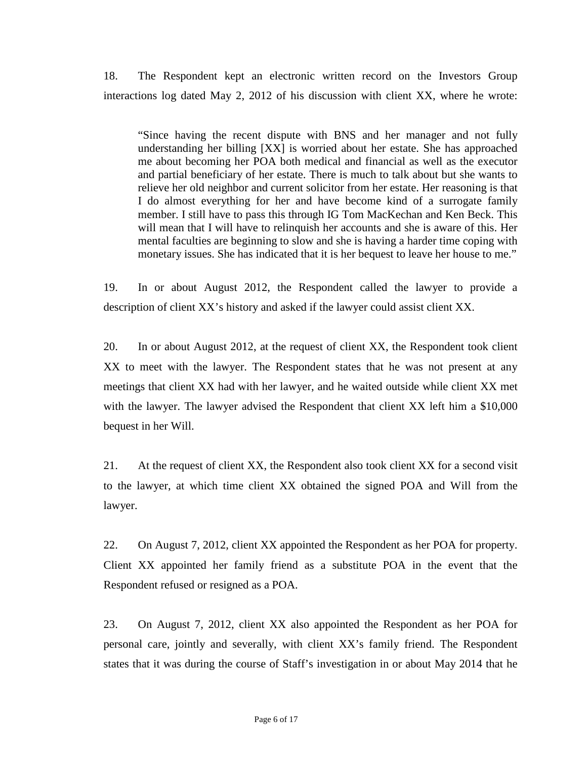18. The Respondent kept an electronic written record on the Investors Group interactions log dated May 2, 2012 of his discussion with client XX, where he wrote:

"Since having the recent dispute with BNS and her manager and not fully understanding her billing [XX] is worried about her estate. She has approached me about becoming her POA both medical and financial as well as the executor and partial beneficiary of her estate. There is much to talk about but she wants to relieve her old neighbor and current solicitor from her estate. Her reasoning is that I do almost everything for her and have become kind of a surrogate family member. I still have to pass this through IG Tom MacKechan and Ken Beck. This will mean that I will have to relinquish her accounts and she is aware of this. Her mental faculties are beginning to slow and she is having a harder time coping with monetary issues. She has indicated that it is her bequest to leave her house to me."

19. In or about August 2012, the Respondent called the lawyer to provide a description of client XX's history and asked if the lawyer could assist client XX.

20. In or about August 2012, at the request of client XX, the Respondent took client XX to meet with the lawyer. The Respondent states that he was not present at any meetings that client XX had with her lawyer, and he waited outside while client XX met with the lawyer. The lawyer advised the Respondent that client XX left him a \$10,000 bequest in her Will.

21. At the request of client XX, the Respondent also took client XX for a second visit to the lawyer, at which time client XX obtained the signed POA and Will from the lawyer.

22. On August 7, 2012, client XX appointed the Respondent as her POA for property. Client XX appointed her family friend as a substitute POA in the event that the Respondent refused or resigned as a POA.

23. On August 7, 2012, client XX also appointed the Respondent as her POA for personal care, jointly and severally, with client XX's family friend. The Respondent states that it was during the course of Staff's investigation in or about May 2014 that he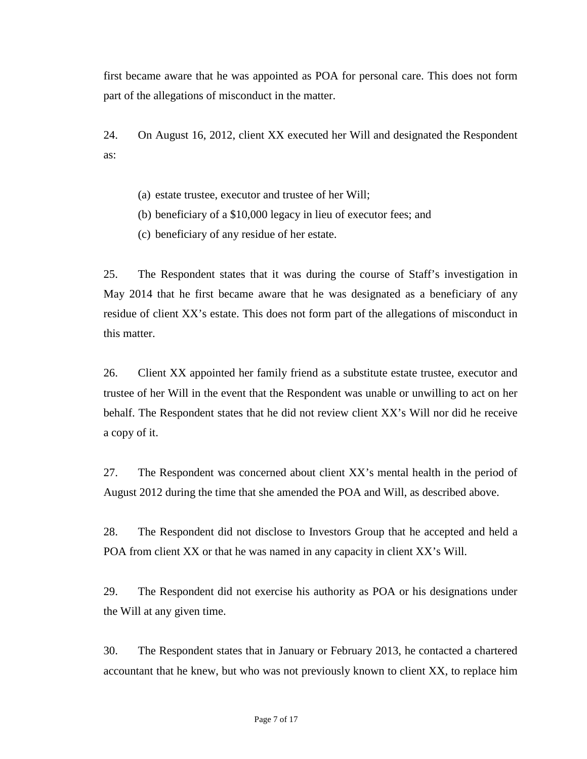first became aware that he was appointed as POA for personal care. This does not form part of the allegations of misconduct in the matter.

24. On August 16, 2012, client XX executed her Will and designated the Respondent as:

- (a) estate trustee, executor and trustee of her Will;
- (b) beneficiary of a \$10,000 legacy in lieu of executor fees; and
- (c) beneficiary of any residue of her estate.

25. The Respondent states that it was during the course of Staff's investigation in May 2014 that he first became aware that he was designated as a beneficiary of any residue of client XX's estate. This does not form part of the allegations of misconduct in this matter.

26. Client XX appointed her family friend as a substitute estate trustee, executor and trustee of her Will in the event that the Respondent was unable or unwilling to act on her behalf. The Respondent states that he did not review client XX's Will nor did he receive a copy of it.

27. The Respondent was concerned about client XX's mental health in the period of August 2012 during the time that she amended the POA and Will, as described above.

28. The Respondent did not disclose to Investors Group that he accepted and held a POA from client XX or that he was named in any capacity in client XX's Will.

29. The Respondent did not exercise his authority as POA or his designations under the Will at any given time.

30. The Respondent states that in January or February 2013, he contacted a chartered accountant that he knew, but who was not previously known to client XX, to replace him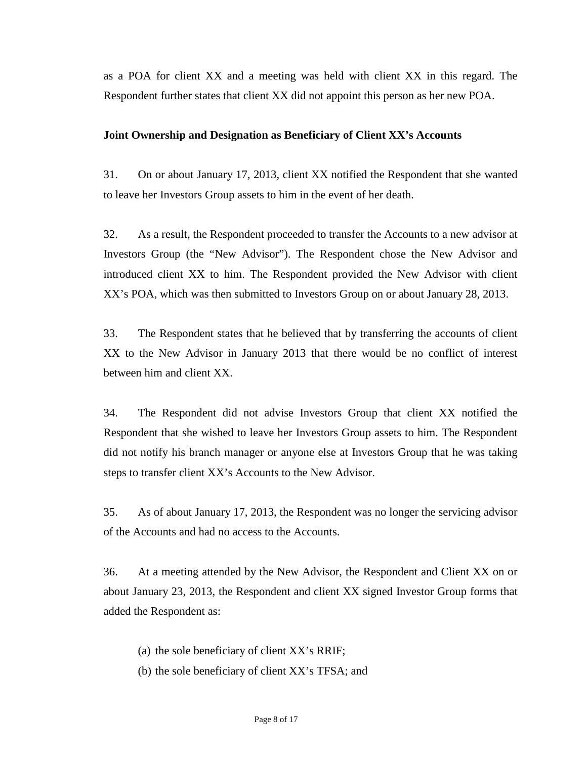as a POA for client XX and a meeting was held with client XX in this regard. The Respondent further states that client XX did not appoint this person as her new POA.

### **Joint Ownership and Designation as Beneficiary of Client XX's Accounts**

31. On or about January 17, 2013, client XX notified the Respondent that she wanted to leave her Investors Group assets to him in the event of her death.

32. As a result, the Respondent proceeded to transfer the Accounts to a new advisor at Investors Group (the "New Advisor"). The Respondent chose the New Advisor and introduced client XX to him. The Respondent provided the New Advisor with client XX's POA, which was then submitted to Investors Group on or about January 28, 2013.

33. The Respondent states that he believed that by transferring the accounts of client XX to the New Advisor in January 2013 that there would be no conflict of interest between him and client XX.

34. The Respondent did not advise Investors Group that client XX notified the Respondent that she wished to leave her Investors Group assets to him. The Respondent did not notify his branch manager or anyone else at Investors Group that he was taking steps to transfer client XX's Accounts to the New Advisor.

35. As of about January 17, 2013, the Respondent was no longer the servicing advisor of the Accounts and had no access to the Accounts.

36. At a meeting attended by the New Advisor, the Respondent and Client XX on or about January 23, 2013, the Respondent and client XX signed Investor Group forms that added the Respondent as:

- (a) the sole beneficiary of client XX's RRIF;
- (b) the sole beneficiary of client XX's TFSA; and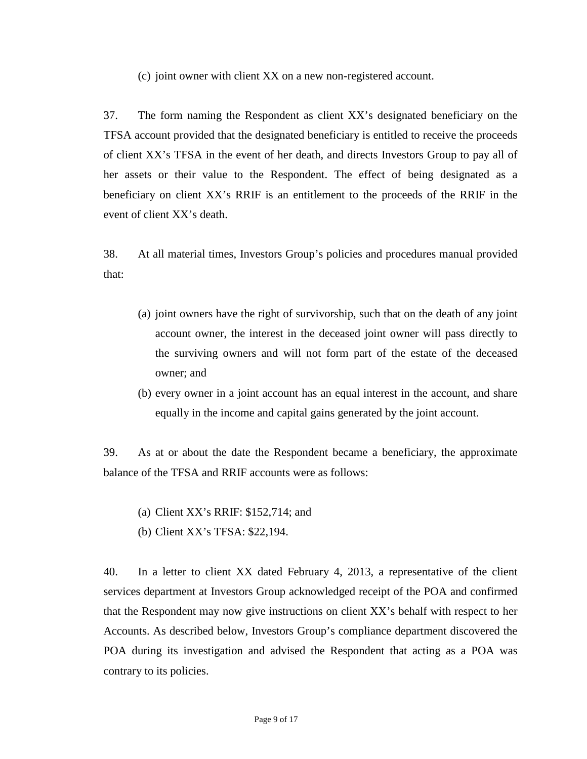(c) joint owner with client XX on a new non-registered account.

37. The form naming the Respondent as client XX's designated beneficiary on the TFSA account provided that the designated beneficiary is entitled to receive the proceeds of client XX's TFSA in the event of her death, and directs Investors Group to pay all of her assets or their value to the Respondent. The effect of being designated as a beneficiary on client XX's RRIF is an entitlement to the proceeds of the RRIF in the event of client XX's death.

38. At all material times, Investors Group's policies and procedures manual provided that:

- (a) joint owners have the right of survivorship, such that on the death of any joint account owner, the interest in the deceased joint owner will pass directly to the surviving owners and will not form part of the estate of the deceased owner; and
- (b) every owner in a joint account has an equal interest in the account, and share equally in the income and capital gains generated by the joint account.

39. As at or about the date the Respondent became a beneficiary, the approximate balance of the TFSA and RRIF accounts were as follows:

- (a) Client XX's RRIF: \$152,714; and
- (b) Client XX's TFSA: \$22,194.

40. In a letter to client XX dated February 4, 2013, a representative of the client services department at Investors Group acknowledged receipt of the POA and confirmed that the Respondent may now give instructions on client XX's behalf with respect to her Accounts. As described below, Investors Group's compliance department discovered the POA during its investigation and advised the Respondent that acting as a POA was contrary to its policies.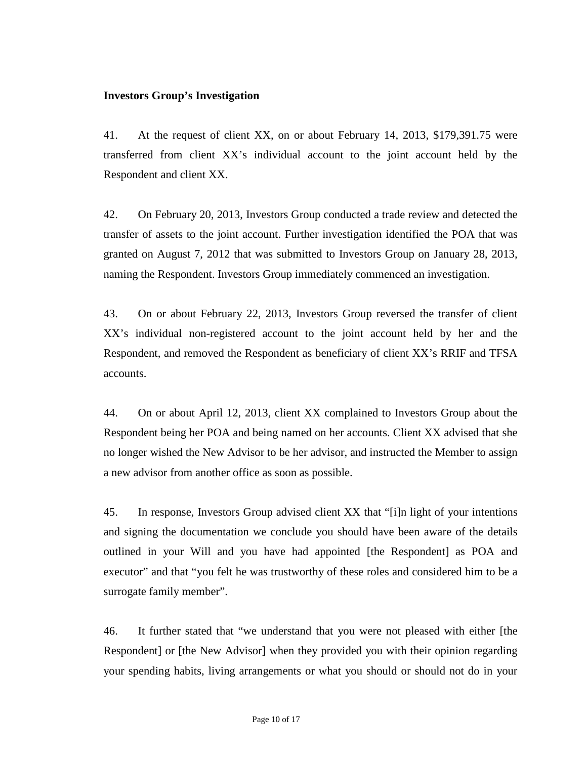## **Investors Group's Investigation**

41. At the request of client XX, on or about February 14, 2013, \$179,391.75 were transferred from client XX's individual account to the joint account held by the Respondent and client XX.

42. On February 20, 2013, Investors Group conducted a trade review and detected the transfer of assets to the joint account. Further investigation identified the POA that was granted on August 7, 2012 that was submitted to Investors Group on January 28, 2013, naming the Respondent. Investors Group immediately commenced an investigation.

43. On or about February 22, 2013, Investors Group reversed the transfer of client XX's individual non-registered account to the joint account held by her and the Respondent, and removed the Respondent as beneficiary of client XX's RRIF and TFSA accounts.

44. On or about April 12, 2013, client XX complained to Investors Group about the Respondent being her POA and being named on her accounts. Client XX advised that she no longer wished the New Advisor to be her advisor, and instructed the Member to assign a new advisor from another office as soon as possible.

45. In response, Investors Group advised client XX that "[i]n light of your intentions and signing the documentation we conclude you should have been aware of the details outlined in your Will and you have had appointed [the Respondent] as POA and executor" and that "you felt he was trustworthy of these roles and considered him to be a surrogate family member".

46. It further stated that "we understand that you were not pleased with either [the Respondent] or [the New Advisor] when they provided you with their opinion regarding your spending habits, living arrangements or what you should or should not do in your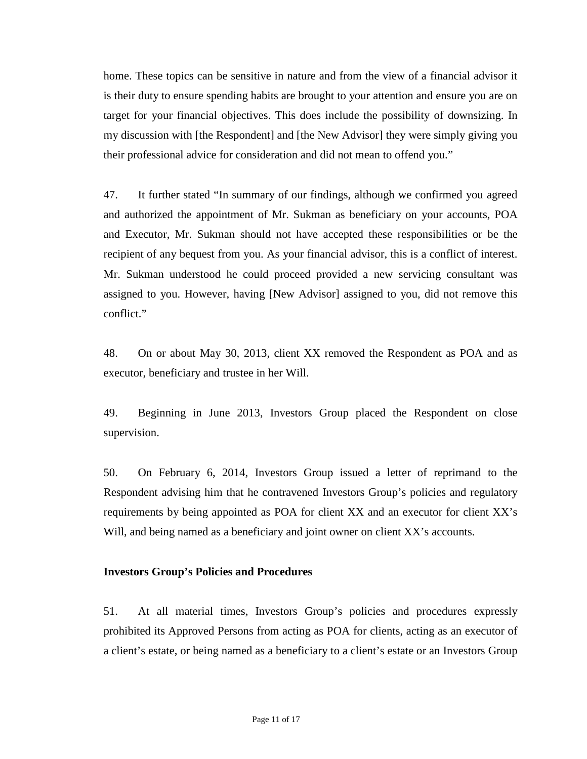home. These topics can be sensitive in nature and from the view of a financial advisor it is their duty to ensure spending habits are brought to your attention and ensure you are on target for your financial objectives. This does include the possibility of downsizing. In my discussion with [the Respondent] and [the New Advisor] they were simply giving you their professional advice for consideration and did not mean to offend you."

47. It further stated "In summary of our findings, although we confirmed you agreed and authorized the appointment of Mr. Sukman as beneficiary on your accounts, POA and Executor, Mr. Sukman should not have accepted these responsibilities or be the recipient of any bequest from you. As your financial advisor, this is a conflict of interest. Mr. Sukman understood he could proceed provided a new servicing consultant was assigned to you. However, having [New Advisor] assigned to you, did not remove this conflict."

48. On or about May 30, 2013, client XX removed the Respondent as POA and as executor, beneficiary and trustee in her Will.

49. Beginning in June 2013, Investors Group placed the Respondent on close supervision.

50. On February 6, 2014, Investors Group issued a letter of reprimand to the Respondent advising him that he contravened Investors Group's policies and regulatory requirements by being appointed as POA for client XX and an executor for client XX's Will, and being named as a beneficiary and joint owner on client XX's accounts.

### **Investors Group's Policies and Procedures**

51. At all material times, Investors Group's policies and procedures expressly prohibited its Approved Persons from acting as POA for clients, acting as an executor of a client's estate, or being named as a beneficiary to a client's estate or an Investors Group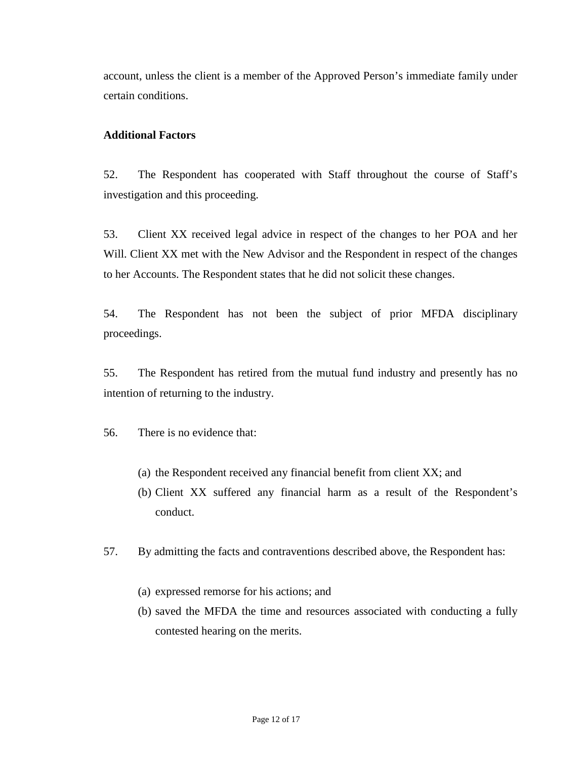account, unless the client is a member of the Approved Person's immediate family under certain conditions.

## **Additional Factors**

52. The Respondent has cooperated with Staff throughout the course of Staff's investigation and this proceeding.

53. Client XX received legal advice in respect of the changes to her POA and her Will. Client XX met with the New Advisor and the Respondent in respect of the changes to her Accounts. The Respondent states that he did not solicit these changes.

54. The Respondent has not been the subject of prior MFDA disciplinary proceedings.

55. The Respondent has retired from the mutual fund industry and presently has no intention of returning to the industry.

56. There is no evidence that:

- (a) the Respondent received any financial benefit from client XX; and
- (b) Client XX suffered any financial harm as a result of the Respondent's conduct.

57. By admitting the facts and contraventions described above, the Respondent has:

- (a) expressed remorse for his actions; and
- (b) saved the MFDA the time and resources associated with conducting a fully contested hearing on the merits.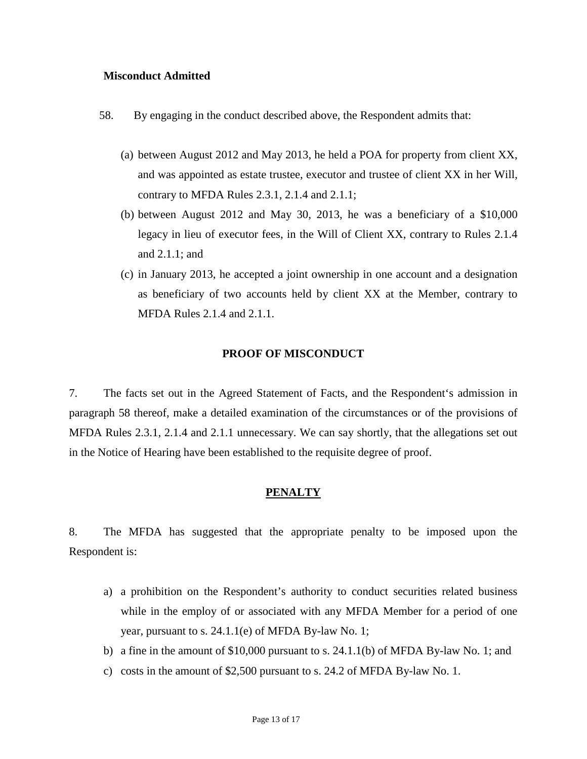### **Misconduct Admitted**

- 58. By engaging in the conduct described above, the Respondent admits that:
	- (a) between August 2012 and May 2013, he held a POA for property from client XX, and was appointed as estate trustee, executor and trustee of client XX in her Will, contrary to MFDA Rules 2.3.1, 2.1.4 and 2.1.1;
	- (b) between August 2012 and May 30, 2013, he was a beneficiary of a \$10,000 legacy in lieu of executor fees, in the Will of Client XX, contrary to Rules 2.1.4 and 2.1.1; and
	- (c) in January 2013, he accepted a joint ownership in one account and a designation as beneficiary of two accounts held by client XX at the Member, contrary to MFDA Rules 2.1.4 and 2.1.1.

#### **PROOF OF MISCONDUCT**

7. The facts set out in the Agreed Statement of Facts, and the Respondent's admission in paragraph 58 thereof, make a detailed examination of the circumstances or of the provisions of MFDA Rules 2.3.1, 2.1.4 and 2.1.1 unnecessary. We can say shortly, that the allegations set out in the Notice of Hearing have been established to the requisite degree of proof.

### **PENALTY**

8. The MFDA has suggested that the appropriate penalty to be imposed upon the Respondent is:

- a) a prohibition on the Respondent's authority to conduct securities related business while in the employ of or associated with any MFDA Member for a period of one year, pursuant to s. 24.1.1(e) of MFDA By-law No. 1;
- b) a fine in the amount of \$10,000 pursuant to s. 24.1.1(b) of MFDA By-law No. 1; and
- c) costs in the amount of \$2,500 pursuant to s. 24.2 of MFDA By-law No. 1.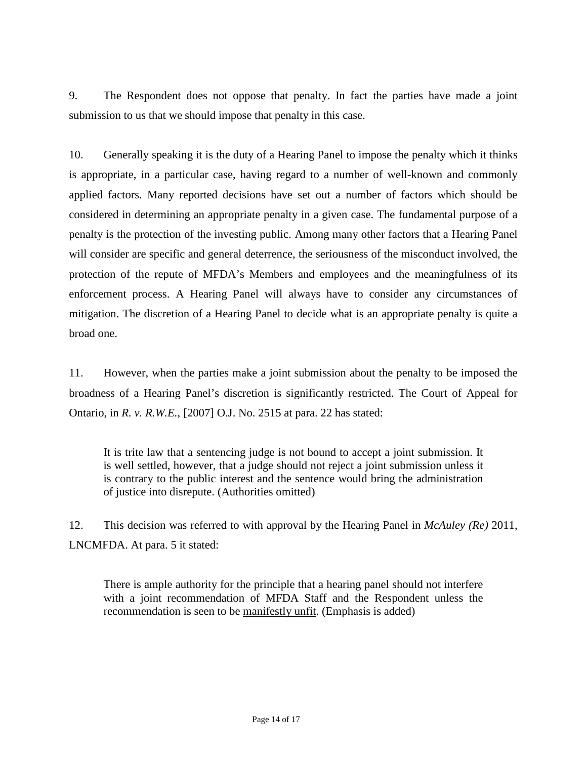9. The Respondent does not oppose that penalty. In fact the parties have made a joint submission to us that we should impose that penalty in this case.

10. Generally speaking it is the duty of a Hearing Panel to impose the penalty which it thinks is appropriate, in a particular case, having regard to a number of well-known and commonly applied factors. Many reported decisions have set out a number of factors which should be considered in determining an appropriate penalty in a given case. The fundamental purpose of a penalty is the protection of the investing public. Among many other factors that a Hearing Panel will consider are specific and general deterrence, the seriousness of the misconduct involved, the protection of the repute of MFDA's Members and employees and the meaningfulness of its enforcement process. A Hearing Panel will always have to consider any circumstances of mitigation. The discretion of a Hearing Panel to decide what is an appropriate penalty is quite a broad one.

11. However, when the parties make a joint submission about the penalty to be imposed the broadness of a Hearing Panel's discretion is significantly restricted. The Court of Appeal for Ontario, in *R. v. R.W.E.*, [2007] O.J. No. 2515 at para. 22 has stated:

It is trite law that a sentencing judge is not bound to accept a joint submission. It is well settled, however, that a judge should not reject a joint submission unless it is contrary to the public interest and the sentence would bring the administration of justice into disrepute. (Authorities omitted)

12. This decision was referred to with approval by the Hearing Panel in *McAuley (Re)* 2011, LNCMFDA. At para. 5 it stated:

There is ample authority for the principle that a hearing panel should not interfere with a joint recommendation of MFDA Staff and the Respondent unless the recommendation is seen to be manifestly unfit. (Emphasis is added)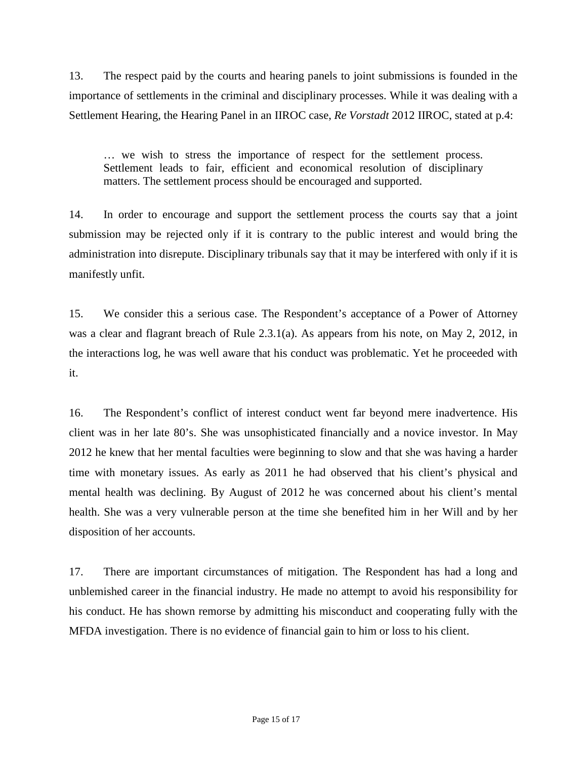13. The respect paid by the courts and hearing panels to joint submissions is founded in the importance of settlements in the criminal and disciplinary processes. While it was dealing with a Settlement Hearing, the Hearing Panel in an IIROC case, *Re Vorstadt* 2012 IIROC, stated at p.4:

… we wish to stress the importance of respect for the settlement process. Settlement leads to fair, efficient and economical resolution of disciplinary matters. The settlement process should be encouraged and supported.

14. In order to encourage and support the settlement process the courts say that a joint submission may be rejected only if it is contrary to the public interest and would bring the administration into disrepute. Disciplinary tribunals say that it may be interfered with only if it is manifestly unfit.

15. We consider this a serious case. The Respondent's acceptance of a Power of Attorney was a clear and flagrant breach of Rule 2.3.1(a). As appears from his note, on May 2, 2012, in the interactions log, he was well aware that his conduct was problematic. Yet he proceeded with it.

16. The Respondent's conflict of interest conduct went far beyond mere inadvertence. His client was in her late 80's. She was unsophisticated financially and a novice investor. In May 2012 he knew that her mental faculties were beginning to slow and that she was having a harder time with monetary issues. As early as 2011 he had observed that his client's physical and mental health was declining. By August of 2012 he was concerned about his client's mental health. She was a very vulnerable person at the time she benefited him in her Will and by her disposition of her accounts.

17. There are important circumstances of mitigation. The Respondent has had a long and unblemished career in the financial industry. He made no attempt to avoid his responsibility for his conduct. He has shown remorse by admitting his misconduct and cooperating fully with the MFDA investigation. There is no evidence of financial gain to him or loss to his client.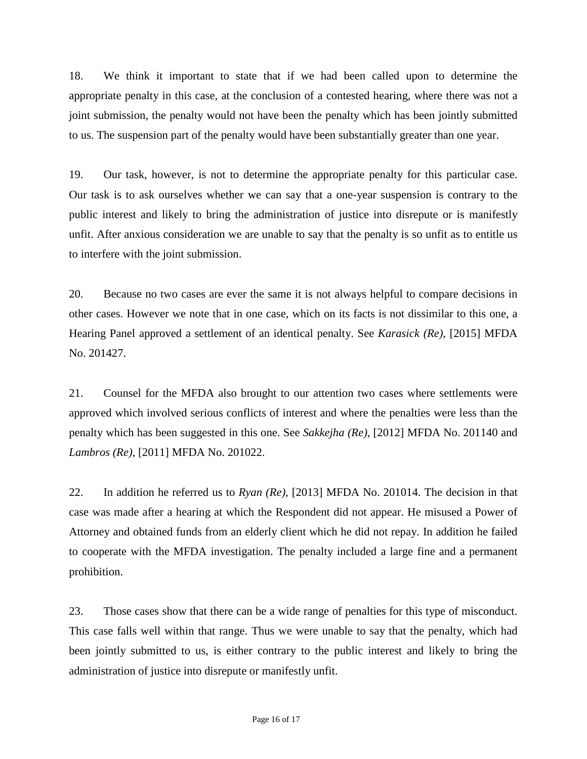18. We think it important to state that if we had been called upon to determine the appropriate penalty in this case, at the conclusion of a contested hearing, where there was not a joint submission, the penalty would not have been the penalty which has been jointly submitted to us. The suspension part of the penalty would have been substantially greater than one year.

19. Our task, however, is not to determine the appropriate penalty for this particular case. Our task is to ask ourselves whether we can say that a one-year suspension is contrary to the public interest and likely to bring the administration of justice into disrepute or is manifestly unfit. After anxious consideration we are unable to say that the penalty is so unfit as to entitle us to interfere with the joint submission.

20. Because no two cases are ever the same it is not always helpful to compare decisions in other cases. However we note that in one case, which on its facts is not dissimilar to this one, a Hearing Panel approved a settlement of an identical penalty. See *Karasick (Re)*, [2015] MFDA No. 201427.

21. Counsel for the MFDA also brought to our attention two cases where settlements were approved which involved serious conflicts of interest and where the penalties were less than the penalty which has been suggested in this one. See *Sakkejha (Re)*, [2012] MFDA No. 201140 and *Lambros (Re)*, [2011] MFDA No. 201022.

22. In addition he referred us to *Ryan (Re)*, [2013] MFDA No. 201014. The decision in that case was made after a hearing at which the Respondent did not appear. He misused a Power of Attorney and obtained funds from an elderly client which he did not repay. In addition he failed to cooperate with the MFDA investigation. The penalty included a large fine and a permanent prohibition.

23. Those cases show that there can be a wide range of penalties for this type of misconduct. This case falls well within that range. Thus we were unable to say that the penalty, which had been jointly submitted to us, is either contrary to the public interest and likely to bring the administration of justice into disrepute or manifestly unfit.